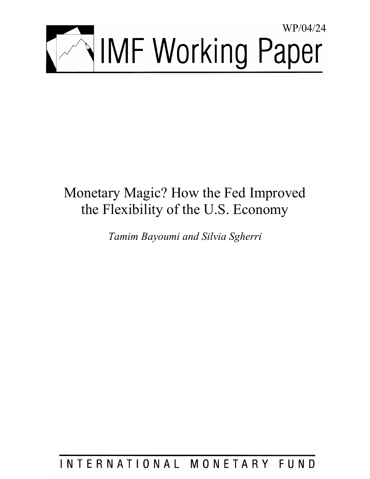

# Monetary Magic? How the Fed Improved the Flexibility of the U.S. Economy

*Tamim Bayoumi and Silvia Sgherri* 

INTERNATIONAL MONETARY FUND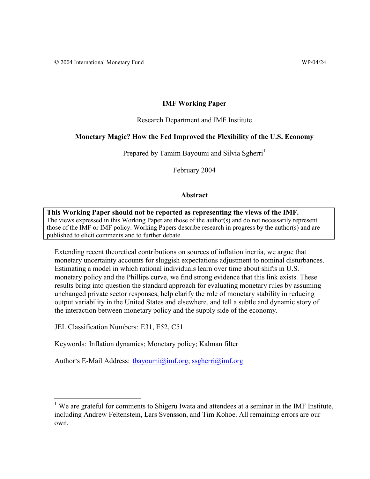# **IMF Working Paper**

Research Department and IMF Institute

# **Monetary Magic? How the Fed Improved the Flexibility of the U.S. Economy**

Prepared by Tamim Bayoumi and Silvia Sgherri<sup>1</sup>

February 2004

# **Abstract**

**This Working Paper should not be reported as representing the views of the IMF.** The views expressed in this Working Paper are those of the author(s) and do not necessarily represent those of the IMF or IMF policy. Working Papers describe research in progress by the author(s) and are published to elicit comments and to further debate.

Extending recent theoretical contributions on sources of inflation inertia, we argue that monetary uncertainty accounts for sluggish expectations adjustment to nominal disturbances. Estimating a model in which rational individuals learn over time about shifts in U.S. monetary policy and the Phillips curve, we find strong evidence that this link exists. These results bring into question the standard approach for evaluating monetary rules by assuming unchanged private sector responses, help clarify the role of monetary stability in reducing output variability in the United States and elsewhere, and tell a subtle and dynamic story of the interaction between monetary policy and the supply side of the economy.

JEL Classification Numbers: E31, E52, C51

<u>.</u>

Keywords: Inflation dynamics; Monetary policy; Kalman filter

Author's E-Mail Address: tbayoumi@imf.org; ssgherri@imf.org

<sup>&</sup>lt;sup>1</sup> We are grateful for comments to Shigeru Iwata and attendees at a seminar in the IMF Institute, including Andrew Feltenstein, Lars Svensson, and Tim Kohoe. All remaining errors are our own.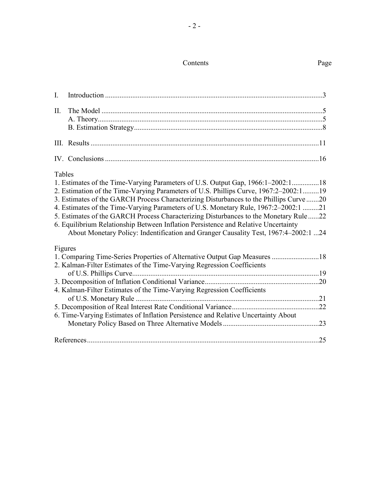## Contents Page

|--|

| I.      |                                                                                                 |  |
|---------|-------------------------------------------------------------------------------------------------|--|
| $\Pi$ . |                                                                                                 |  |
|         |                                                                                                 |  |
|         |                                                                                                 |  |
|         |                                                                                                 |  |
|         |                                                                                                 |  |
| Tables  |                                                                                                 |  |
|         | 1. Estimates of the Time-Varying Parameters of U.S. Output Gap, 1966:1-2002:118                 |  |
|         | 2. Estimation of the Time-Varying Parameters of U.S. Phillips Curve, 1967:2-2002:119            |  |
|         | 3. Estimates of the GARCH Process Characterizing Disturbances to the Phillips Curve 20          |  |
|         | 4. Estimates of the Time-Varying Parameters of U.S. Monetary Rule, 1967:2-2002:1 21             |  |
|         | 5. Estimates of the GARCH Process Characterizing Disturbances to the Monetary Rule 22           |  |
|         | 6. Equilibrium Relationship Between Inflation Persistence and Relative Uncertainty              |  |
|         | About Monetary Policy: Indentification and Granger Causality Test, 1967:4-2002:1 24             |  |
| Figures |                                                                                                 |  |
|         | 1. Comparing Time-Series Properties of Alternative Output Gap Measures 18                       |  |
|         | 2. Kalman-Filter Estimates of the Time-Varying Regression Coefficients                          |  |
|         |                                                                                                 |  |
|         |                                                                                                 |  |
|         | 4. Kalman-Filter Estimates of the Time-Varying Regression Coefficients<br>of U.S. Monetary Rule |  |
|         |                                                                                                 |  |
|         | 6. Time-Varying Estimates of Inflation Persistence and Relative Uncertainty About               |  |
|         |                                                                                                 |  |
|         |                                                                                                 |  |
|         |                                                                                                 |  |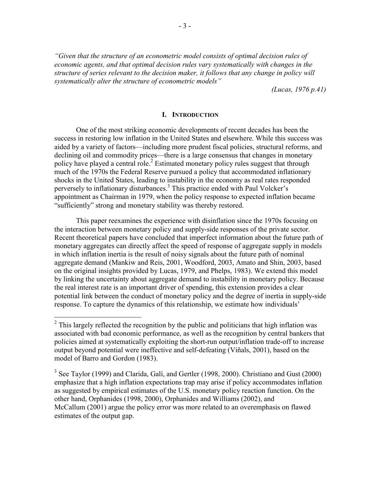*"Given that the structure of an econometric model consists of optimal decision rules of economic agents, and that optimal decision rules vary systematically with changes in the structure of series relevant to the decision maker, it follows that any change in policy will systematically alter the structure of econometric models"* 

*(Lucas, 1976 p.41)* 

# **I. INTRODUCTION**

One of the most striking economic developments of recent decades has been the success in restoring low inflation in the United States and elsewhere. While this success was aided by a variety of factors—including more prudent fiscal policies, structural reforms, and declining oil and commodity prices—there is a large consensus that changes in monetary policy have played a central role.<sup>2</sup> Estimated monetary policy rules suggest that through much of the 1970s the Federal Reserve pursued a policy that accommodated inflationary shocks in the United States, leading to instability in the economy as real rates responded perversely to inflationary disturbances.<sup>3</sup> This practice ended with Paul Volcker's appointment as Chairman in 1979, when the policy response to expected inflation became "sufficiently" strong and monetary stability was thereby restored.

This paper reexamines the experience with disinflation since the 1970s focusing on the interaction between monetary policy and supply-side responses of the private sector. Recent theoretical papers have concluded that imperfect information about the future path of monetary aggregates can directly affect the speed of response of aggregate supply in models in which inflation inertia is the result of noisy signals about the future path of nominal aggregate demand (Mankiw and Reis, 2001, Woodford, 2003, Amato and Shin, 2003, based on the original insights provided by Lucas, 1979, and Phelps, 1983). We extend this model by linking the uncertainty about aggregate demand to instability in monetary policy. Because the real interest rate is an important driver of spending, this extension provides a clear potential link between the conduct of monetary policy and the degree of inertia in supply-side response. To capture the dynamics of this relationship, we estimate how individuals'

<sup>&</sup>lt;sup>2</sup> This largely reflected the recognition by the public and politicians that high inflation was associated with bad economic performance, as well as the recognition by central bankers that policies aimed at systematically exploiting the short-run output/inflation trade-off to increase output beyond potential were ineffective and self-defeating (Viñals, 2001), based on the model of Barro and Gordon (1983).

 $3$  See Taylor (1999) and Clarida, Galí, and Gertler (1998, 2000). Christiano and Gust (2000) emphasize that a high inflation expectations trap may arise if policy accommodates inflation as suggested by empirical estimates of the U.S. monetary policy reaction function. On the other hand, Orphanides (1998, 2000), Orphanides and Williams (2002), and McCallum (2001) argue the policy error was more related to an overemphasis on flawed estimates of the output gap.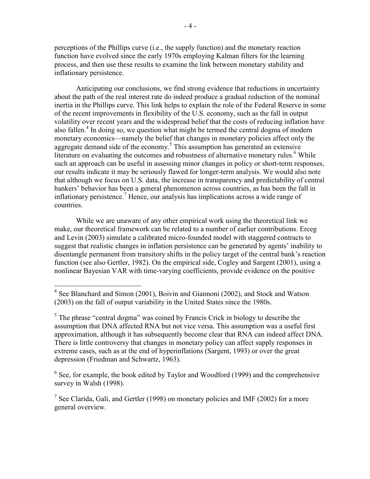perceptions of the Phillips curve (i.e., the supply function) and the monetary reaction function have evolved since the early 1970s employing Kalman filters for the learning process, and then use these results to examine the link between monetary stability and inflationary persistence.

Anticipating our conclusions, we find strong evidence that reductions in uncertainty about the path of the real interest rate do indeed produce a gradual reduction of the nominal inertia in the Phillips curve. This link helps to explain the role of the Federal Reserve in some of the recent improvements in flexibility of the U.S. economy, such as the fall in output volatility over recent years and the widespread belief that the costs of reducing inflation have also fallen.<sup>4</sup> In doing so, we question what might be termed the central dogma of modern monetary economics—namely the belief that changes in monetary policies affect only the aggregate demand side of the economy.<sup>5</sup> This assumption has generated an extensive literature on evaluating the outcomes and robustness of alternative monetary rules.<sup>6</sup> While such an approach can be useful in assessing minor changes in policy or short-term responses, our results indicate it may be seriously flawed for longer-term analysis. We would also note that although we focus on U.S. data, the increase in transparency and predictability of central bankers' behavior has been a general phenomenon across countries, as has been the fall in inflationary persistence.<sup>7</sup> Hence, our analysis has implications across a wide range of countries.

While we are unaware of any other empirical work using the theoretical link we make, our theoretical framework can be related to a number of earlier contributions. Erceg and Levin (2003) simulate a calibrated micro-founded model with staggered contracts to suggest that realistic changes in inflation persistence can be generated by agents' inability to disentangle permanent from transitory shifts in the policy target of the central bank's reaction function (see also Gertler, 1982). On the empirical side, Cogley and Sargent (2001), using a nonlinear Bayesian VAR with time-varying coefficients, provide evidence on the positive

 $\overline{a}$ 

 $6$  See, for example, the book edited by Taylor and Woodford (1999) and the comprehensive survey in Walsh (1998).

<sup>7</sup> See Clarida, Galí, and Gertler (1998) on monetary policies and IMF (2002) for a more general overview.

<sup>&</sup>lt;sup>4</sup> See Blanchard and Simon (2001), Boivin and Giannoni (2002), and Stock and Watson (2003) on the fall of output variability in the United States since the 1980s.

 $<sup>5</sup>$  The phrase "central dogma" was coined by Francis Crick in biology to describe the</sup> assumption that DNA affected RNA but not vice versa. This assumption was a useful first approximation, although it has subsequently become clear that RNA can indeed affect DNA. There is little controversy that changes in monetary policy can affect supply responses in extreme cases, such as at the end of hyperinflations (Sargent, 1993) or over the great depression (Friedman and Schwartz, 1963).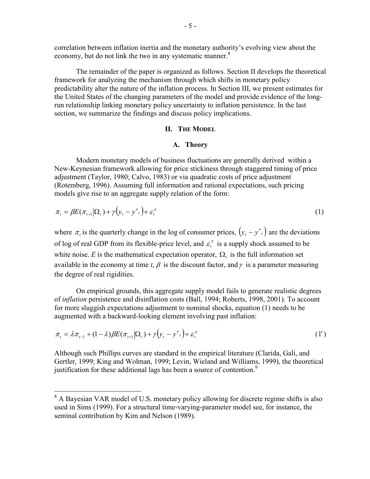correlation between inflation inertia and the monetary authority's evolving view about the economy, but do not link the two in any systematic manner.<sup>8</sup>

The remainder of the paper is organized as follows. Section II develops the theoretical framework for analyzing the mechanism through which shifts in monetary policy predictability alter the nature of the inflation process. In Section III, we present estimates for the United States of the changing parameters of the model and provide evidence of the longrun relationship linking monetary policy uncertainty to inflation persistence. In the last section, we summarize the findings and discuss policy implications.

#### **II. THE MODEL**

#### **A. Theory**

Modern monetary models of business fluctuations are generally derived within a New-Keynesian framework allowing for price stickiness through staggered timing of price adjustment (Taylor, 1980; Calvo, 1983) or via quadratic costs of price adjustment (Rotemberg, 1996). Assuming full information and rational expectations, such pricing models give rise to an aggregate supply relation of the form:

$$
\pi_t = \beta E(\pi_{t+1}|\Omega_t) + \gamma \left(\mathbf{y}_t - \mathbf{y}^*\right) + \varepsilon_t^{\pi}
$$
\n<sup>(1)</sup>

where  $\pi_t$  is the quarterly change in the log of consumer prices,  $\left(y_t - y_t\right)$  are the deviations of log of real GDP from its flexible-price level, and  $\varepsilon_t^{\pi}$  is a supply shock assumed to be white noise. *E* is the mathematical expectation operator,  $\Omega$ , is the full information set available in the economy at time *t*,  $\beta$  is the discount factor, and  $\gamma$  is a parameter measuring the degree of real rigidities.

On empirical grounds, this aggregate supply model fails to generate realistic degrees of *inflation* persistence and disinflation costs (Ball, 1994; Roberts, 1998, 2001). To account for more sluggish expectations adjustment to nominal shocks, equation (1) needs to be augmented with a backward-looking element involving past inflation:

$$
\pi_t = \lambda \pi_{t-1} + (1 - \lambda) \beta E(\pi_{t+1} | \Omega_t) + \gamma (y_t - y^*) + \varepsilon_t^{\pi}
$$
 (1')

Although such Phillips curves are standard in the empirical literature (Clarida, Gali, and Gertler, 1999; King and Wolman, 1999; Levin, Wieland and Williams, 1999), the theoretical justification for these additional lags has been a source of contention.<sup>9</sup>

<sup>&</sup>lt;sup>8</sup> A Bayesian VAR model of U.S. monetary policy allowing for discrete regime shifts is also used in Sims (1999). For a structural time-varying-parameter model see, for instance, the seminal contribution by Kim and Nelson (1989).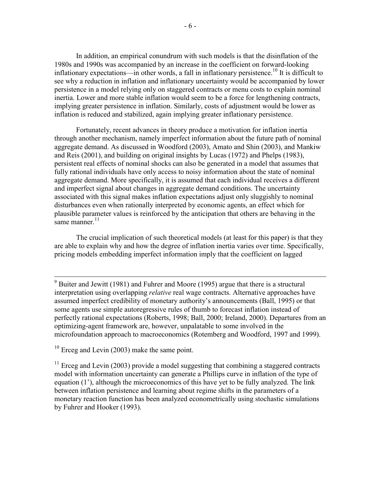In addition, an empirical conundrum with such models is that the disinflation of the 1980s and 1990s was accompanied by an increase in the coefficient on forward-looking inflationary expectations—in other words, a fall in inflationary persistence.<sup>10</sup> It is difficult to see why a reduction in inflation and inflationary uncertainty would be accompanied by lower persistence in a model relying only on staggered contracts or menu costs to explain nominal inertia. Lower and more stable inflation would seem to be a force for lengthening contracts, implying greater persistence in inflation. Similarly, costs of adjustment would be lower as inflation is reduced and stabilized, again implying greater inflationary persistence.

Fortunately, recent advances in theory produce a motivation for inflation inertia through another mechanism, namely imperfect information about the future path of nominal aggregate demand. As discussed in Woodford (2003), Amato and Shin (2003), and Mankiw and Reis (2001), and building on original insights by Lucas (1972) and Phelps (1983), persistent real effects of nominal shocks can also be generated in a model that assumes that fully rational individuals have only access to noisy information about the state of nominal aggregate demand. More specifically, it is assumed that each individual receives a different and imperfect signal about changes in aggregate demand conditions. The uncertainty associated with this signal makes inflation expectations adjust only sluggishly to nominal disturbances even when rationally interpreted by economic agents, an effect which for plausible parameter values is reinforced by the anticipation that others are behaving in the same manner.<sup>11</sup>

The crucial implication of such theoretical models (at least for this paper) is that they are able to explain why and how the degree of inflation inertia varies over time. Specifically, pricing models embedding imperfect information imply that the coefficient on lagged

 $10$  Erceg and Levin (2003) make the same point.

 $11$  Erceg and Levin (2003) provide a model suggesting that combining a staggered contracts model with information uncertainty can generate a Phillips curve in inflation of the type of equation (1'), although the microeconomics of this have yet to be fully analyzed. The link between inflation persistence and learning about regime shifts in the parameters of a monetary reaction function has been analyzed econometrically using stochastic simulations by Fuhrer and Hooker (1993).

 $9^9$  Buiter and Jewitt (1981) and Fuhrer and Moore (1995) argue that there is a structural interpretation using overlapping *relative* real wage contracts. Alternative approaches have assumed imperfect credibility of monetary authority's announcements (Ball, 1995) or that some agents use simple autoregressive rules of thumb to forecast inflation instead of perfectly rational expectations (Roberts, 1998; Ball, 2000; Ireland, 2000). Departures from an optimizing-agent framework are, however, unpalatable to some involved in the microfoundation approach to macroeconomics (Rotemberg and Woodford, 1997 and 1999).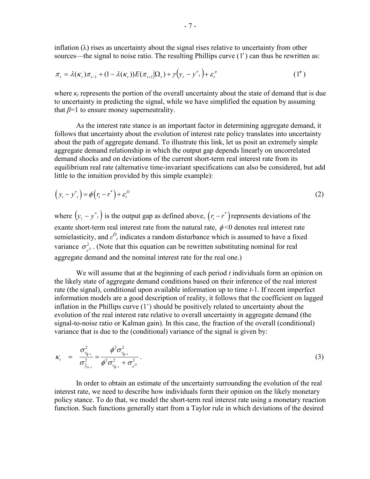inflation  $(\lambda)$  rises as uncertainty about the signal rises relative to uncertainty from other sources—the signal to noise ratio. The resulting Phillips curve (1') can thus be rewritten as:

$$
\pi_t = \lambda(\kappa_t)\pi_{t-1} + (1 - \lambda(\kappa_t))E(\pi_{t+1}|\Omega_t) + \gamma(\mathbf{y}_t - \mathbf{y}^*) + \varepsilon_t^{\pi}
$$
\n(1")

where  $\kappa_t$  represents the portion of the overall uncertainty about the state of demand that is due to uncertainty in predicting the signal, while we have simplified the equation by assuming that  $\beta$ =1 to ensure money superneutrality.

 As the interest rate stance is an important factor in determining aggregate demand, it follows that uncertainty about the evolution of interest rate policy translates into uncertainty about the path of aggregate demand. To illustrate this link, let us posit an extremely simple aggregate demand relationship in which the output gap depends linearly on uncorrelated demand shocks and on deviations of the current short-term real interest rate from its equilibrium real rate (alternative time-invariant specifications can also be considered, but add little to the intuition provided by this simple example):

$$
\left(y_t - y_{t}^*\right) = \phi\left(r_t - r^*\right) + \varepsilon_t^D\tag{2}
$$

where  $\left(y_t - y^*\right)$  is the output gap as defined above,  $\left(r_t - r^*\right)$  represents deviations of the exante short-term real interest rate from the natural rate,  $\phi$  <0 denotes real interest rate semielasticity, and  $\varepsilon_{t}^{D}$  indicates a random disturbance which is assumed to have a fixed variance  $\sigma_{\varepsilon}^2$ . (Note that this equation can be rewritten substituting nominal for real aggregate demand and the nominal interest rate for the real one.)

We will assume that at the beginning of each period *t* individuals form an opinion on the likely state of aggregate demand conditions based on their inference of the real interest rate (the signal), conditional upon available information up to time *t*-1. If recent imperfect information models are a good description of reality, it follows that the coefficient on lagged inflation in the Phillips curve (1') should be positively related to uncertainty about the evolution of the real interest rate relative to overall uncertainty in aggregate demand (the signal-to-noise ratio or Kalman gain). In this case, the fraction of the overall (conditional) variance that is due to the (conditional) variance of the signal is given by:

$$
\kappa_{t} = \frac{\sigma_{r_{i_{l-1}}^{2}}^{2}}{\sigma_{\tilde{y}_{i_{l-1}}^{2}}^{2}} = \frac{\phi^{2} \sigma_{r_{i_{l-1}}^{2}}^{2}}{\phi^{2} \sigma_{r_{i_{l-1}}^{2}}^{2} + \sigma_{\varepsilon^{D}}^{2}}.
$$
\n(3)

In order to obtain an estimate of the uncertainty surrounding the evolution of the real interest rate, we need to describe how individuals form their opinion on the likely monetary policy stance. To do that, we model the short-term real interest rate using a monetary reaction function. Such functions generally start from a Taylor rule in which deviations of the desired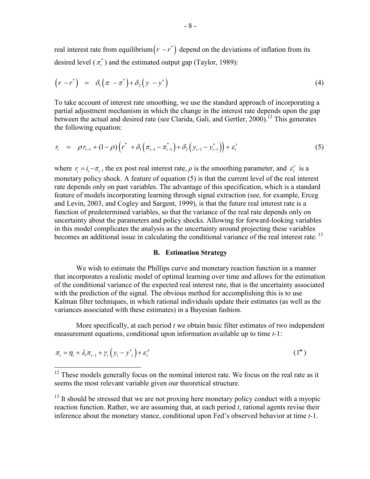real interest rate from equilibrium $(r - r^*)$  depend on the deviations of inflation from its desired level  $(\pi_t^*)$  and the estimated output gap (Taylor, 1989):

$$
(r - r*) = \delta_1(\pi - \pi^*) + \delta_2(y - y^*)
$$
 (4)

To take account of interest rate smoothing, we use the standard approach of incorporating a partial adjustment mechanism in which the change in the interest rate depends upon the gap between the actual and desired rate (see Clarida, Gali, and Gertler, 2000).<sup>12</sup> This generates the following equation:

$$
r_{t} = \rho r_{t-1} + (1 - \rho) \left( r^{*} + \delta_{1} \left( \pi_{t-1} - \pi_{t-1}^{*} \right) + \delta_{2} \left( y_{t-1} - y_{t-1}^{*} \right) \right) + \varepsilon_{t}^{r}
$$
(5)

where  $r_t = i_t - \pi_t$ , the ex post real interest rate,  $\rho$  is the smoothing parameter, and  $\varepsilon_t^r$  is a monetary policy shock. A feature of equation (5) is that the current level of the real interest rate depends only on past variables. The advantage of this specification, which is a standard feature of models incorporating learning through signal extraction (see, for example, Erceg and Levin, 2003, and Cogley and Sargent, 1999), is that the future real interest rate is a function of predetermined variables, so that the variance of the real rate depends only on uncertainty about the parameters and policy shocks. Allowing for forward-looking variables in this model complicates the analysis as the uncertainty around projecting these variables becomes an additional issue in calculating the conditional variance of the real interest rate.<sup>13</sup>

## **B. Estimation Strategy**

 We wish to estimate the Phillips curve and monetary reaction function in a manner that incorporates a realistic model of optimal learning over time and allows for the estimation of the conditional variance of the expected real interest rate, that is the uncertainty associated with the prediction of the signal. The obvious method for accomplishing this is to use Kalman filter techniques, in which rational individuals update their estimates (as well as the variances associated with these estimates) in a Bayesian fashion.

 More specifically, at each period *t* we obtain basic filter estimates of two independent measurement equations, conditional upon information available up to time *t*-1:

$$
\pi_t = \eta_t + \lambda_t \pi_{t-1} + \gamma_t \left( y_t - y_{t}^* \right) + \varepsilon_t^{\pi}
$$
\n<sup>(1<sup>m</sup>)</sup>

1

 $12$  These models generally focus on the nominal interest rate. We focus on the real rate as it seems the most relevant variable given our theoretical structure.

 $13$  It should be stressed that we are not proxing here monetary policy conduct with a myopic reaction function. Rather, we are assuming that, at each period *t*, rational agents revise their inference about the monetary stance, conditional upon Fed's observed behavior at time *t*-1.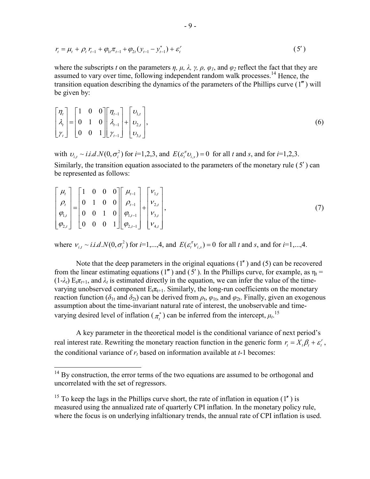$$
r_{t} = \mu_{t} + \rho_{t} r_{t-1} + \varphi_{1t} \pi_{t-1} + \varphi_{2t} (y_{t-1} - y_{t-1}^{*}) + \varepsilon_{t}' \tag{5'}
$$

where the subscripts *t* on the parameters  $\eta$ ,  $\mu$ ,  $\lambda$ ,  $\gamma$ ,  $\rho$ ,  $\varphi$ <sub>*l*</sub>, and  $\varphi$ <sub>2</sub> reflect the fact that they are assumed to vary over time, following independent random walk processes.<sup>14</sup> Hence, the transition equation describing the dynamics of the parameters of the Phillips curve  $(1<sup>m</sup>)$  will be given by:

$$
\begin{bmatrix} \eta_t \\ \lambda_t \\ \gamma_t \end{bmatrix} = \begin{bmatrix} 1 & 0 & 0 \\ 0 & 1 & 0 \\ 0 & 0 & 1 \end{bmatrix} \begin{bmatrix} \eta_{t-1} \\ \lambda_{t-1} \\ \gamma_{t-1} \end{bmatrix} + \begin{bmatrix} \nu_{1,t} \\ \nu_{2,t} \\ \nu_{3,t} \end{bmatrix},
$$
\n(6)

with  $v_{i,t} \sim i.i.d.N(0, \sigma_i^2)$  for  $i=1,2,3$ , and  $E(\varepsilon_i^T v_{i,s}) = 0$  for all *t* and *s*, and for  $i=1,2,3$ . Similarly, the transition equation associated to the parameters of the monetary rule ( 5′) can be represented as follows:

$$
\begin{bmatrix} \mu_t \\ \rho_t \\ \varphi_{1,t} \\ \varphi_{2,t} \end{bmatrix} = \begin{bmatrix} 1 & 0 & 0 & 0 \\ 0 & 1 & 0 & 0 \\ 0 & 0 & 1 & 0 \\ 0 & 0 & 0 & 1 \end{bmatrix} \begin{bmatrix} \mu_{t-1} \\ \rho_{t-1} \\ \varphi_{1,t-1} \\ \varphi_{2,t-1} \end{bmatrix} + \begin{bmatrix} V_{1,t} \\ V_{2,t} \\ V_{3,t} \\ V_{4,t} \end{bmatrix},
$$
\n(7)

where  $v_{i,t} \sim i.i.d.N(0, \sigma_i^2)$  for  $i=1,\dots,4$ , and  $E(\varepsilon_i^T v_{i,s}) = 0$  for all *t* and *s*, and for  $i=1,\dots,4$ .

Note that the deep parameters in the original equations  $(1'')$  and  $(5)$  can be recovered from the linear estimating equations (1''') and (5'). In the Phillips curve, for example, as  $\eta_t$  =  $(1-\lambda_t)$  E<sub>t</sub> $\pi_{t+1}$ , and  $\lambda_t$  is estimated directly in the equation, we can infer the value of the timevarying unobserved component  $E_t \pi_{t+1}$ . Similarly, the long-run coefficients on the monetary reaction function ( $\delta_{1t}$  and  $\delta_{2t}$ ) can be derived from  $\rho_t$ ,  $\varphi_{1t}$ , and  $\varphi_{2t}$ . Finally, given an exogenous assumption about the time-invariant natural rate of interest, the unobservable and timevarying desired level of inflation ( $\pi_t^*$ ) can be inferred from the intercept,  $\mu_t$ .<sup>15</sup>

A key parameter in the theoretical model is the conditional variance of next period's real interest rate. Rewriting the monetary reaction function in the generic form  $r_t = X_t \beta_t + \varepsilon_t^r$ , the conditional variance of  $r_t$  based on information available at  $t-1$  becomes:

 $\overline{a}$ 

 $14$  By construction, the error terms of the two equations are assumed to be orthogonal and uncorrelated with the set of regressors.

<sup>&</sup>lt;sup>15</sup> To keep the lags in the Phillips curve short, the rate of inflation in equation (1<sup> $\prime$ </sup>) is measured using the annualized rate of quarterly CPI inflation. In the monetary policy rule, where the focus is on underlying infaltionary trends, the annual rate of CPI inflation is used.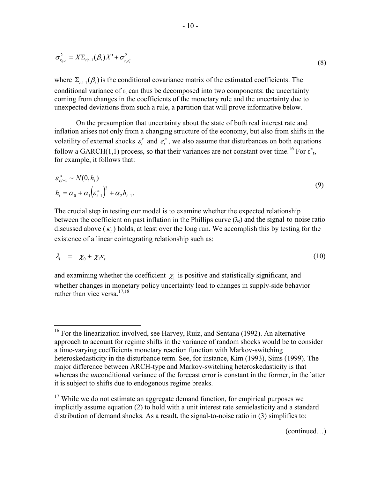$$
\sigma_{r_{t+1}}^2 = X \Sigma_{t|t-1} (\beta_t) X' + \sigma_{t, \varepsilon_t'}^2
$$
\n(8)

where  $\Sigma_{t}(\beta_t)$  is the conditional covariance matrix of the estimated coefficients. The conditional variance of  $r_t$  can thus be decomposed into two components: the uncertainty coming from changes in the coefficients of the monetary rule and the uncertainty due to unexpected deviations from such a rule, a partition that will prove informative below.

On the presumption that uncertainty about the state of both real interest rate and inflation arises not only from a changing structure of the economy, but also from shifts in the volatility of external shocks  $\varepsilon_t^r$  and  $\varepsilon_t^{\pi}$ , we also assume that disturbances on both equations follow a GARCH(1,1) process, so that their variances are not constant over time.<sup>16</sup> For  $\varepsilon_{t}^{\pi}$ , for example, it follows that:

$$
\varepsilon_{t|t-1}^{\pi} \sim N(0, h_t)
$$
  
\n
$$
h_t = \alpha_0 + \alpha_1 \left( \varepsilon_{t-1}^{\pi} \right)^2 + \alpha_2 h_{t-1}.
$$
\n(9)

The crucial step in testing our model is to examine whether the expected relationship between the coefficient on past inflation in the Phillips curve  $(\lambda_t)$  and the signal-to-noise ratio discussed above  $(\kappa_t)$  holds, at least over the long run. We accomplish this by testing for the existence of a linear cointegrating relationship such as:

$$
\lambda_t = \chi_0 + \chi_1 \kappa_t \tag{10}
$$

and examining whether the coefficient  $\chi_1$  is positive and statistically significant, and whether changes in monetary policy uncertainty lead to changes in supply-side behavior rather than vice versa.<sup>17,18</sup>

1

 $16$  For the linearization involved, see Harvey, Ruiz, and Sentana (1992). An alternative approach to account for regime shifts in the variance of random shocks would be to consider a time-varying coefficients monetary reaction function with Markov-switching heteroskedasticity in the disturbance term. See, for instance, Kim (1993), Sims (1999). The major difference between ARCH-type and Markov-switching heteroskedasticity is that whereas the *un*conditional variance of the forecast error is constant in the former, in the latter it is subject to shifts due to endogenous regime breaks.

<sup>&</sup>lt;sup>17</sup> While we do not estimate an aggregate demand function, for empirical purposes we implicitly assume equation (2) to hold with a unit interest rate semielasticity and a standard distribution of demand shocks. As a result, the signal-to-noise ratio in (3) simplifies to: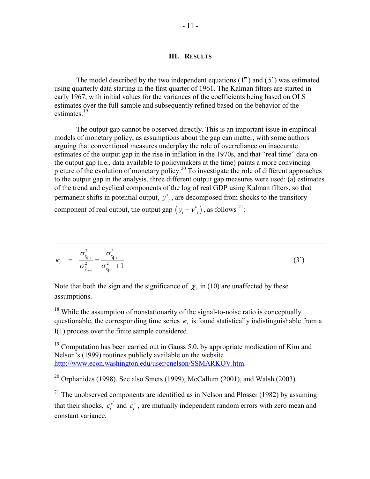# **III. RESULTS**

The model described by the two independent equations  $(1<sup>m</sup>)$  and  $(5')$  was estimated using quarterly data starting in the first quarter of 1961. The Kalman filters are started in early 1967, with initial values for the variances of the coefficients being based on OLS estimates over the full sample and subsequently refined based on the behavior of the estimates.<sup>19</sup>

The output gap cannot be observed directly. This is an important issue in empirical models of monetary policy, as assumptions about the gap can matter, with some authors arguing that conventional measures underplay the role of overreliance on inaccurate estimates of the output gap in the rise in inflation in the 1970s, and that "real time" data on the output gap (i.e., data available to policymakers at the time) paints a more convincing picture of the evolution of monetary policy.<sup>20</sup> To investigate the role of different approaches to the output gap in the analysis, three different output gap measures were used: (a) estimates of the trend and cyclical components of the log of real GDP using Kalman filters, so that permanent shifts in potential output,  $y^*$ , are decomposed from shocks to the transitory component of real output, the output gap  $(y_t - y_{t}^*)$ , as follows <sup>21</sup>:

$$
\kappa_{t} = \frac{\sigma_{r_{t_{l-1}}}}{\sigma_{\tilde{y}_{t_{l-1}}}} = \frac{\sigma_{r_{t_{l-1}}}}{\sigma_{r_{t_{l-1}}}^2 + 1}.
$$
\n(3')

Note that both the sign and the significance of  $\chi_1$  in (10) are unaffected by these assumptions.

1

<sup>18</sup> While the assumption of nonstationarity of the signal-to-noise ratio is conceptually questionable, the corresponding time series  $\kappa$ , is found statistically indistinguishable from a I(1) process over the finite sample considered.

 $19$  Computation has been carried out in Gauss 5.0, by appropriate modication of Kim and Nelson's (1999) routines publicly available on the website http://www.econ.washington.edu/user/cnelson/SSMARKOV.htm.

 $20$  Orphanides (1998). See also Smets (1999), McCallum (2001), and Walsh (2003).

<sup>21</sup> The unobserved components are identified as in Nelson and Plosser (1982) by assuming that their shocks,  $\varepsilon_t^{y^*}$  and  $\varepsilon_t^{\tilde{y}}$ , are mutually independent random errors with zero mean and constant variance.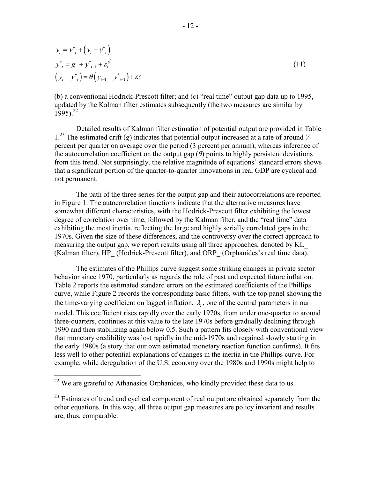$$
y_{t} = y_{t}^{*} + (y_{t} - y_{t})
$$
  
\n
$$
y_{t}^{*} = g + y_{t-1}^{*} + \varepsilon_{t}^{y^{*}}
$$
  
\n
$$
(y_{t} - y_{t}^{*}) = \theta(y_{t-1} - y_{t-1}^{*}) + \varepsilon_{t}^{y^{*}}
$$
\n(11)

(b) a conventional Hodrick-Prescott filter; and (c) "real time" output gap data up to 1995, updated by the Kalman filter estimates subsequently (the two measures are similar by 1995).<sup>22</sup>

Detailed results of Kalman filter estimation of potential output are provided in Table  $1<sup>23</sup>$  The estimated drift (*g*) indicates that potential output increased at a rate of around  $\frac{3}{4}$ percent per quarter on average over the period (3 percent per annum), whereas inference of the autocorrelation coefficient on the output gap  $(\theta)$  points to highly persistent deviations from this trend. Not surprisingly, the relative magnitude of equations' standard errors shows that a significant portion of the quarter-to-quarter innovations in real GDP are cyclical and not permanent.

The path of the three series for the output gap and their autocorrelations are reported in Figure 1. The autocorrelation functions indicate that the alternative measures have somewhat different characteristics, with the Hodrick-Prescott filter exhibiting the lowest degree of correlation over time, followed by the Kalman filter, and the "real time" data exhibiting the most inertia, reflecting the large and highly serially correlated gaps in the 1970s. Given the size of these differences, and the controversy over the correct approach to measuring the output gap, we report results using all three approaches, denoted by KL\_ (Kalman filter), HP (Hodrick-Prescott filter), and ORP (Orphanides's real time data).

The estimates of the Phillips curve suggest some striking changes in private sector behavior since 1970, particularly as regards the role of past and expected future inflation. Table 2 reports the estimated standard errors on the estimated coefficients of the Phillips curve, while Figure 2 records the corresponding basic filters, with the top panel showing the the time-varying coefficient on lagged inflation,  $\lambda$ , one of the central parameters in our model. This coefficient rises rapidly over the early 1970s, from under one-quarter to around three-quarters, continues at this value to the late 1970s before gradually declining through 1990 and then stabilizing again below 0.5. Such a pattern fits closely with conventional view that monetary credibility was lost rapidly in the mid-1970s and regained slowly starting in the early 1980s (a story that our own estimated monetary reaction function confirms). It fits less well to other potential explanations of changes in the inertia in the Phillips curve. For example, while deregulation of the U.S. economy over the 1980s and 1990s might help to

<u>.</u>

 $22$  We are grateful to Athanasios Orphanides, who kindly provided these data to us.

<sup>&</sup>lt;sup>23</sup> Estimates of trend and cyclical component of real output are obtained separately from the other equations. In this way, all three output gap measures are policy invariant and results are, thus, comparable.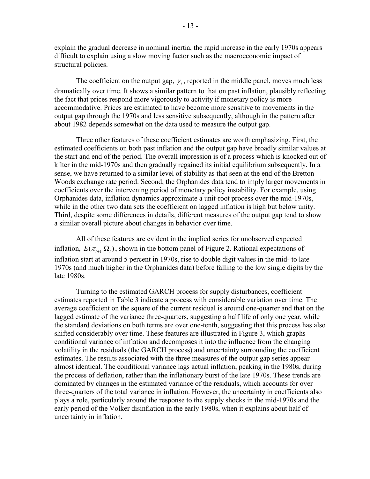explain the gradual decrease in nominal inertia, the rapid increase in the early 1970s appears difficult to explain using a slow moving factor such as the macroeconomic impact of structural policies.

The coefficient on the output gap,  $\gamma$ , reported in the middle panel, moves much less dramatically over time. It shows a similar pattern to that on past inflation, plausibly reflecting the fact that prices respond more vigorously to activity if monetary policy is more accommodative. Prices are estimated to have become more sensitive to movements in the output gap through the 1970s and less sensitive subsequently, although in the pattern after about 1982 depends somewhat on the data used to measure the output gap.

Three other features of these coefficient estimates are worth emphasizing. First, the estimated coefficients on both past inflation and the output gap have broadly similar values at the start and end of the period. The overall impression is of a process which is knocked out of kilter in the mid-1970s and then gradually regained its initial equilibrium subsequently. In a sense, we have returned to a similar level of stability as that seen at the end of the Bretton Woods exchange rate period. Second, the Orphanides data tend to imply larger movements in coefficients over the intervening period of monetary policy instability. For example, using Orphanides data, inflation dynamics approximate a unit-root process over the mid-1970s, while in the other two data sets the coefficient on lagged inflation is high but below unity. Third, despite some differences in details, different measures of the output gap tend to show a similar overall picture about changes in behavior over time.

All of these features are evident in the implied series for unobserved expected inflation,  $E(\pi_{t+1} | \Omega_t)$ , shown in the bottom panel of Figure 2. Rational expectations of inflation start at around 5 percent in 1970s, rise to double digit values in the mid- to late 1970s (and much higher in the Orphanides data) before falling to the low single digits by the late 1980s.

Turning to the estimated GARCH process for supply disturbances, coefficient estimates reported in Table 3 indicate a process with considerable variation over time. The average coefficient on the square of the current residual is around one-quarter and that on the lagged estimate of the variance three-quarters, suggesting a half life of only one year, while the standard deviations on both terms are over one-tenth, suggesting that this process has also shifted considerably over time. These features are illustrated in Figure 3, which graphs conditional variance of inflation and decomposes it into the influence from the changing volatility in the residuals (the GARCH process) and uncertainty surrounding the coefficient estimates. The results associated with the three measures of the output gap series appear almost identical. The conditional variance lags actual inflation, peaking in the 1980s, during the process of deflation, rather than the inflationary burst of the late 1970s. These trends are dominated by changes in the estimated variance of the residuals, which accounts for over three-quarters of the total variance in inflation. However, the uncertainty in coefficients also plays a role, particularly around the response to the supply shocks in the mid-1970s and the early period of the Volker disinflation in the early 1980s, when it explains about half of uncertainty in inflation.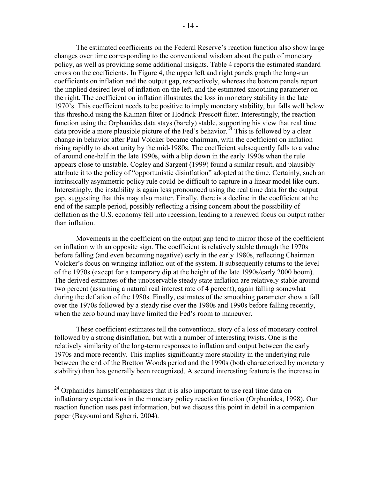The estimated coefficients on the Federal Reserve's reaction function also show large changes over time corresponding to the conventional wisdom about the path of monetary policy, as well as providing some additional insights. Table 4 reports the estimated standard errors on the coefficients. In Figure 4, the upper left and right panels graph the long-run coefficients on inflation and the output gap, respectively, whereas the bottom panels report the implied desired level of inflation on the left, and the estimated smoothing parameter on the right. The coefficient on inflation illustrates the loss in monetary stability in the late 1970's. This coefficient needs to be positive to imply monetary stability, but falls well below this threshold using the Kalman filter or Hodrick-Prescott filter. Interestingly, the reaction function using the Orphanides data stays (barely) stable, supporting his view that real time data provide a more plausible picture of the Fed's behavior.<sup>24</sup> This is followed by a clear change in behavior after Paul Volcker became chairman, with the coefficient on inflation rising rapidly to about unity by the mid-1980s. The coefficient subsequently falls to a value of around one-half in the late 1990s, with a blip down in the early 1990s when the rule appears close to unstable. Cogley and Sargent (1999) found a similar result, and plausibly attribute it to the policy of "opportunistic disinflation" adopted at the time. Certainly, such an intrinsically asymmetric policy rule could be difficult to capture in a linear model like ours. Interestingly, the instability is again less pronounced using the real time data for the output gap, suggesting that this may also matter. Finally, there is a decline in the coefficient at the end of the sample period, possibly reflecting a rising concern about the possibility of deflation as the U.S. economy fell into recession, leading to a renewed focus on output rather than inflation.

Movements in the coefficient on the output gap tend to mirror those of the coefficient on inflation with an opposite sign. The coefficient is relatively stable through the 1970s before falling (and even becoming negative) early in the early 1980s, reflecting Chairman Volcker's focus on wringing inflation out of the system. It subsequently returns to the level of the 1970s (except for a temporary dip at the height of the late 1990s/early 2000 boom). The derived estimates of the unobservable steady state inflation are relatively stable around two percent (assuming a natural real interest rate of 4 percent), again falling somewhat during the deflation of the 1980s. Finally, estimates of the smoothing parameter show a fall over the 1970s followed by a steady rise over the 1980s and 1990s before falling recently, when the zero bound may have limited the Fed's room to maneuver.

These coefficient estimates tell the conventional story of a loss of monetary control followed by a strong disinflation, but with a number of interesting twists. One is the relatively similarity of the long-term responses to inflation and output between the early 1970s and more recently. This implies significantly more stability in the underlying rule between the end of the Bretton Woods period and the 1990s (both characterized by monetary stability) than has generally been recognized. A second interesting feature is the increase in

 $\overline{a}$ 

<sup>&</sup>lt;sup>24</sup> Orphanides himself emphasizes that it is also important to use real time data on inflationary expectations in the monetary policy reaction function (Orphanides, 1998). Our reaction function uses past information, but we discuss this point in detail in a companion paper (Bayoumi and Sgherri, 2004).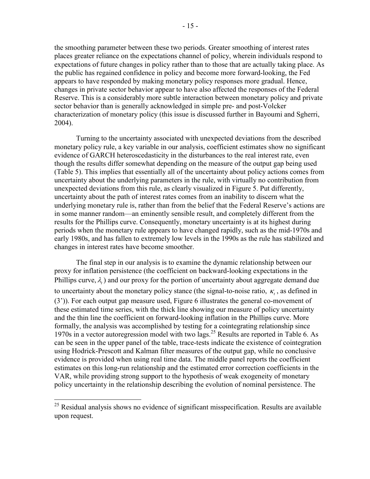the smoothing parameter between these two periods. Greater smoothing of interest rates places greater reliance on the expectations channel of policy, wherein individuals respond to expectations of future changes in policy rather than to those that are actually taking place. As the public has regained confidence in policy and become more forward-looking, the Fed appears to have responded by making monetary policy responses more gradual. Hence, changes in private sector behavior appear to have also affected the responses of the Federal Reserve. This is a considerably more subtle interaction between monetary policy and private sector behavior than is generally acknowledged in simple pre- and post-Volcker characterization of monetary policy (this issue is discussed further in Bayoumi and Sgherri, 2004).

Turning to the uncertainty associated with unexpected deviations from the described monetary policy rule, a key variable in our analysis, coefficient estimates show no significant evidence of GARCH heteroscedasticity in the disturbances to the real interest rate, even though the results differ somewhat depending on the measure of the output gap being used (Table 5). This implies that essentially all of the uncertainty about policy actions comes from uncertainty about the underlying parameters in the rule, with virtually no contribution from unexpected deviations from this rule, as clearly visualized in Figure 5. Put differently, uncertainty about the path of interest rates comes from an inability to discern what the underlying monetary rule is, rather than from the belief that the Federal Reserve's actions are in some manner random—an eminently sensible result, and completely different from the results for the Phillips curve. Consequently, monetary uncertainty is at its highest during periods when the monetary rule appears to have changed rapidly, such as the mid-1970s and early 1980s, and has fallen to extremely low levels in the 1990s as the rule has stabilized and changes in interest rates have become smoother.

The final step in our analysis is to examine the dynamic relationship between our proxy for inflation persistence (the coefficient on backward-looking expectations in the Phillips curve,  $\lambda$ ) and our proxy for the portion of uncertainty about aggregate demand due to uncertainty about the monetary policy stance (the signal-to-noise ratio,  $\kappa_t$ , as defined in (3')). For each output gap measure used, Figure 6 illustrates the general co-movement of these estimated time series, with the thick line showing our measure of policy uncertainty and the thin line the coefficient on forward-looking inflation in the Phillips curve. More formally, the analysis was accomplished by testing for a cointegrating relationship since 1970s in a vector autoregression model with two lags.25 Results are reported in Table 6. As can be seen in the upper panel of the table, trace-tests indicate the existence of cointegration using Hodrick-Prescott and Kalman filter measures of the output gap, while no conclusive evidence is provided when using real time data. The middle panel reports the coefficient estimates on this long-run relationship and the estimated error correction coefficients in the VAR, while providing strong support to the hypothesis of weak exogeneity of monetary policy uncertainty in the relationship describing the evolution of nominal persistence. The

1

 $25$  Residual analysis shows no evidence of significant misspecification. Results are available upon request.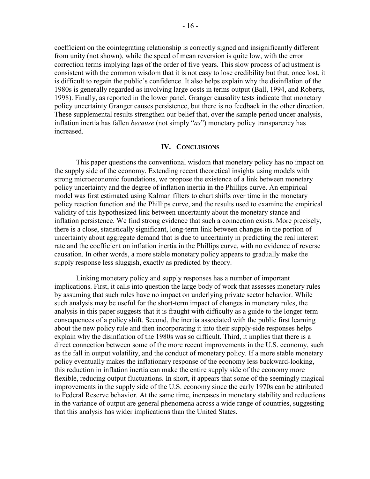coefficient on the cointegrating relationship is correctly signed and insignificantly different from unity (not shown), while the speed of mean reversion is quite low, with the error correction terms implying lags of the order of five years. This slow process of adjustment is consistent with the common wisdom that it is not easy to lose credibility but that, once lost, it is difficult to regain the public's confidence. It also helps explain why the disinflation of the 1980s is generally regarded as involving large costs in terms output (Ball, 1994, and Roberts, 1998). Finally, as reported in the lower panel, Granger causality tests indicate that monetary policy uncertainty Granger causes persistence, but there is no feedback in the other direction. These supplemental results strengthen our belief that, over the sample period under analysis, inflation inertia has fallen *because* (not simply "*as*") monetary policy transparency has increased.

#### **IV. CONCLUSIONS**

This paper questions the conventional wisdom that monetary policy has no impact on the supply side of the economy. Extending recent theoretical insights using models with strong microeconomic foundations, we propose the existence of a link between monetary policy uncertainty and the degree of inflation inertia in the Phillips curve. An empirical model was first estimated using Kalman filters to chart shifts over time in the monetary policy reaction function and the Phillips curve, and the results used to examine the empirical validity of this hypothesized link between uncertainty about the monetary stance and inflation persistence. We find strong evidence that such a connection exists. More precisely, there is a close, statistically significant, long-term link between changes in the portion of uncertainty about aggregate demand that is due to uncertainty in predicting the real interest rate and the coefficient on inflation inertia in the Phillips curve, with no evidence of reverse causation. In other words, a more stable monetary policy appears to gradually make the supply response less sluggish, exactly as predicted by theory.

Linking monetary policy and supply responses has a number of important implications. First, it calls into question the large body of work that assesses monetary rules by assuming that such rules have no impact on underlying private sector behavior. While such analysis may be useful for the short-term impact of changes in monetary rules, the analysis in this paper suggests that it is fraught with difficulty as a guide to the longer-term consequences of a policy shift. Second, the inertia associated with the public first learning about the new policy rule and then incorporating it into their supply-side responses helps explain why the disinflation of the 1980s was so difficult. Third, it implies that there is a direct connection between some of the more recent improvements in the U.S. economy, such as the fall in output volatility, and the conduct of monetary policy. If a more stable monetary policy eventually makes the inflationary response of the economy less backward-looking, this reduction in inflation inertia can make the entire supply side of the economy more flexible, reducing output fluctuations. In short, it appears that some of the seemingly magical improvements in the supply side of the U.S. economy since the early 1970s can be attributed to Federal Reserve behavior. At the same time, increases in monetary stability and reductions in the variance of output are general phenomena across a wide range of countries, suggesting that this analysis has wider implications than the United States.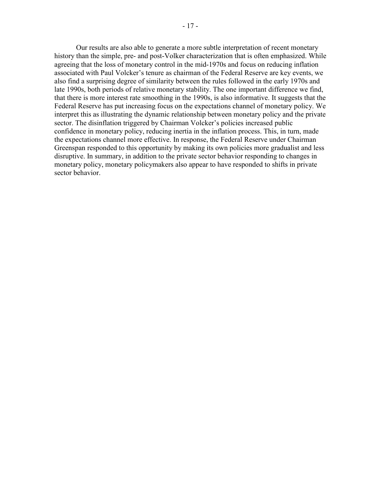Our results are also able to generate a more subtle interpretation of recent monetary history than the simple, pre- and post-Volker characterization that is often emphasized. While agreeing that the loss of monetary control in the mid-1970s and focus on reducing inflation associated with Paul Volcker's tenure as chairman of the Federal Reserve are key events, we also find a surprising degree of similarity between the rules followed in the early 1970s and late 1990s, both periods of relative monetary stability. The one important difference we find, that there is more interest rate smoothing in the 1990s, is also informative. It suggests that the Federal Reserve has put increasing focus on the expectations channel of monetary policy. We interpret this as illustrating the dynamic relationship between monetary policy and the private sector. The disinflation triggered by Chairman Volcker's policies increased public confidence in monetary policy, reducing inertia in the inflation process. This, in turn, made the expectations channel more effective. In response, the Federal Reserve under Chairman Greenspan responded to this opportunity by making its own policies more gradualist and less disruptive. In summary, in addition to the private sector behavior responding to changes in monetary policy, monetary policymakers also appear to have responded to shifts in private sector behavior.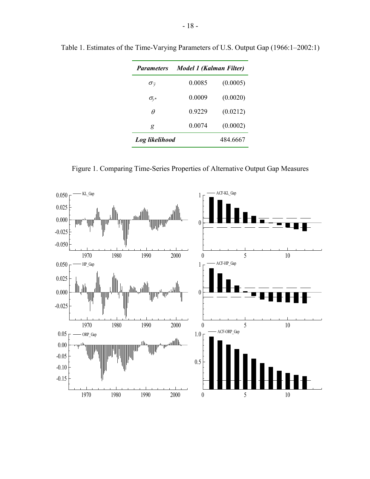| <b>Parameters</b>                   | Model 1 (Kalman Filter) |          |  |  |
|-------------------------------------|-------------------------|----------|--|--|
| $\sigma_{\widetilde{v}}$            | 0.0085                  | (0.0005) |  |  |
| $\sigma_{\!\scriptscriptstyle V}$ * | 0.0009                  | (0.0020) |  |  |
| Ĥ                                   | 0.9229                  | (0.0212) |  |  |
| g                                   | 0.0074                  | (0.0002) |  |  |
| Log likelihood                      |                         | 484.6667 |  |  |

Table 1. Estimates of the Time-Varying Parameters of U.S. Output Gap (1966:1–2002:1)

Figure 1. Comparing Time-Series Properties of Alternative Output Gap Measures

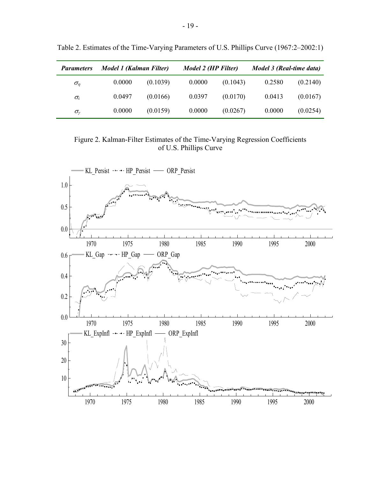| <b>Parameters</b>  | Model 1 (Kalman Filter) |          | Model 2 (HP Filter) |          | Model 3 (Real-time data) |          |
|--------------------|-------------------------|----------|---------------------|----------|--------------------------|----------|
| $\sigma_n$         | 0.0000                  | (0.1039) | 0.0000              | (0.1043) | 0.2580                   | (0.2140) |
| $\sigma_{\lambda}$ | 0.0497                  | (0.0166) | 0.0397              | (0.0170) | 0.0413                   | (0.0167) |
| $\sigma_{\nu}$     | 0.0000                  | (0.0159) | 0.0000              | (0.0267) | 0.0000                   | (0.0254) |

Table 2. Estimates of the Time-Varying Parameters of U.S. Phillips Curve (1967:2–2002:1)

Figure 2. Kalman-Filter Estimates of the Time-Varying Regression Coefficients of U.S. Phillips Curve

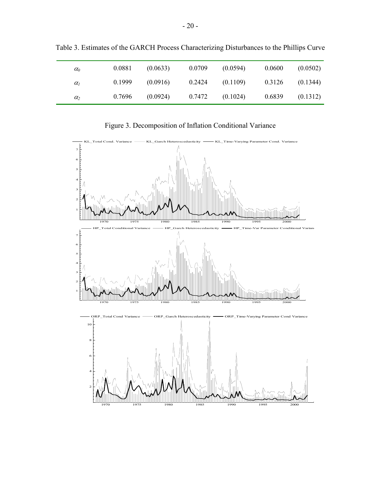| $\alpha_0$ | 0.0881 | (0.0633) | 0.0709 | (0.0594) | 0.0600 | (0.0502) |
|------------|--------|----------|--------|----------|--------|----------|
| $\alpha_I$ | 0.1999 | (0.0916) | 0.2424 | (0.1109) | 0.3126 | (0.1344) |
| $\alpha_2$ | 0.7696 | (0.0924) | 0.7472 | (0.1024) | 0.6839 | (0.1312) |

Table 3. Estimates of the GARCH Process Characterizing Disturbances to the Phillips Curve

Figure 3. Decomposition of Inflation Conditional Variance

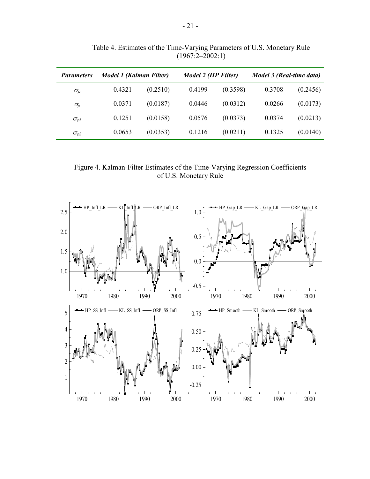| <b>Parameters</b>                    | <b>Model 1 (Kalman Filter)</b> |          | Model 2 (HP Filter) |          | Model 3 (Real-time data) |          |
|--------------------------------------|--------------------------------|----------|---------------------|----------|--------------------------|----------|
| $\sigma_{\!\scriptscriptstyle H}$    | 0.4321                         | (0.2510) | 0.4199              | (0.3598) | 0.3708                   | (0.2456) |
| $\sigma_{\!\scriptscriptstyle\beta}$ | 0.0371                         | (0.0187) | 0.0446              | (0.0312) | 0.0266                   | (0.0173) |
| $\sigma_{\varrho}$                   | 0.1251                         | (0.0158) | 0.0576              | (0.0373) | 0.0374                   | (0.0213) |
| $\sigma_{\varphi 2}$                 | 0.0653                         | (0.0353) | 0.1216              | (0.0211) | 0.1325                   | (0.0140) |

Table 4. Estimates of the Time-Varying Parameters of U.S. Monetary Rule  $(1967:2-2002:1)$ 

Figure 4. Kalman-Filter Estimates of the Time-Varying Regression Coefficients of U.S. Monetary Rule

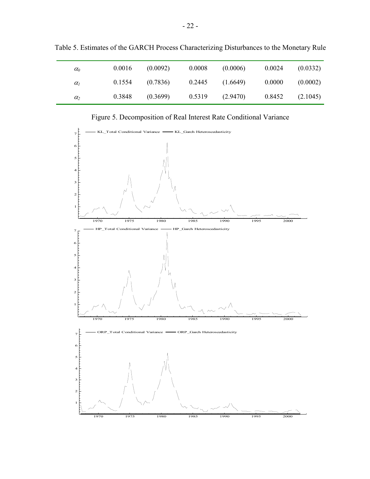| $\alpha_0$            | 0.0016 | (0.0092) | 0.0008 | (0.0006) | 0.0024 | (0.0332) |
|-----------------------|--------|----------|--------|----------|--------|----------|
| $\alpha$ <sub>l</sub> | 0.1554 | (0.7836) | 0.2445 | (1.6649) | 0.0000 | (0.0002) |
| $\alpha_2$            | 0.3848 | (0.3699) | 0.5319 | (2.9470) | 0.8452 | (2.1045) |

Table 5. Estimates of the GARCH Process Characterizing Disturbances to the Monetary Rule

Figure 5. Decomposition of Real Interest Rate Conditional Variance

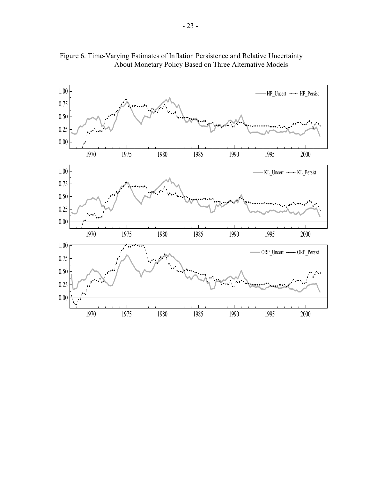

Figure 6. Time-Varying Estimates of Inflation Persistence and Relative Uncertainty About Monetary Policy Based on Three Alternative Models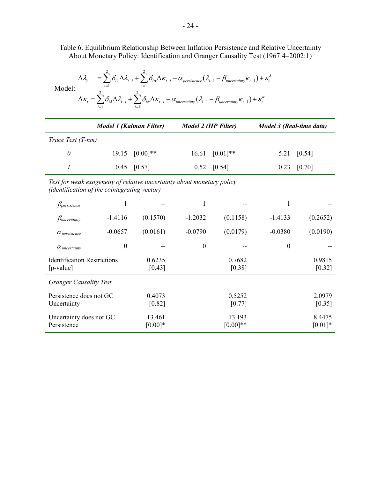Table 6. Equilibrium Relationship Between Inflation Persistence and Relative Uncertainty About Monetary Policy: Identification and Granger Causality Test (1967:4–2002:1)

λ

|                                                                |                                                                                                                        |                  |                      | $\Delta \kappa_t = \sum \delta_{i\lambda} \Delta \lambda_{t-i} + \sum \delta_{i\sigma} \Delta \kappa_{t-i} - \alpha_{\text{uncertainty}} (\lambda_{t-1} - \beta_{\text{uncertainty}} \kappa_{t-1}) + \varepsilon_t^{\kappa}$ |                     |                          |  |  |
|----------------------------------------------------------------|------------------------------------------------------------------------------------------------------------------------|------------------|----------------------|------------------------------------------------------------------------------------------------------------------------------------------------------------------------------------------------------------------------------|---------------------|--------------------------|--|--|
|                                                                | <b>Model 1 (Kalman Filter)</b>                                                                                         |                  |                      | <b>Model 2 (HP Filter)</b>                                                                                                                                                                                                   |                     | Model 3 (Real-time data) |  |  |
| Trace Test (T-nm)                                              |                                                                                                                        |                  |                      |                                                                                                                                                                                                                              |                     |                          |  |  |
| $\theta$                                                       | 19.15                                                                                                                  | $[0.00]$ **      | 16.61                | $[0.01]**$                                                                                                                                                                                                                   | 5.21                | [0.54]                   |  |  |
| $\boldsymbol{l}$                                               | 0.45                                                                                                                   | [0.57]           | 0.52                 | [0.54]                                                                                                                                                                                                                       | 0.23                | [0.70]                   |  |  |
|                                                                | Test for weak exogeneity of relative uncertainty about monetary policy<br>(identification of the cointegrating vector) |                  |                      |                                                                                                                                                                                                                              |                     |                          |  |  |
| $\beta_{persistent}$                                           | 1                                                                                                                      |                  | 1                    |                                                                                                                                                                                                                              | 1                   |                          |  |  |
| $\beta_{uncertainty}$                                          | $-1.4116$                                                                                                              | (0.1570)         | $-1.2032$            | (0.1158)                                                                                                                                                                                                                     | $-1.4133$           | (0.2652)                 |  |  |
| $\alpha$ persistence                                           | $-0.0657$                                                                                                              | (0.0161)         | $-0.0790$            | (0.0179)                                                                                                                                                                                                                     | $-0.0380$           | (0.0190)                 |  |  |
| $\alpha$ uncertainty                                           | $\boldsymbol{0}$                                                                                                       |                  | $\boldsymbol{0}$     |                                                                                                                                                                                                                              | $\boldsymbol{0}$    |                          |  |  |
| <b>Identification Restrictions</b><br>$[p-value]$              |                                                                                                                        | 0.6235<br>[0.43] |                      | 0.7682<br>[0.38]                                                                                                                                                                                                             |                     | 0.9815<br>[0.32]         |  |  |
| <b>Granger Causality Test</b>                                  |                                                                                                                        |                  |                      |                                                                                                                                                                                                                              |                     |                          |  |  |
| Persistence does not GC<br>0.4073<br>Uncertainty<br>[0.82]     |                                                                                                                        |                  | 0.5252<br>[0.77]     |                                                                                                                                                                                                                              | 2.0979<br>[0.35]    |                          |  |  |
| Uncertainty does not GC<br>13.461<br>Persistence<br>$[0.00]$ * |                                                                                                                        |                  | 13.193<br>$[0.00]**$ |                                                                                                                                                                                                                              | 8.4475<br>$[0.01]*$ |                          |  |  |

Model:

 $1 - \mu_{\text{uncertainty}} \mathbf{A}_{t-1}$  $i=1$ 2 2  $(\lambda_{t-1} - \beta_{uncertainty} K_{t-1})$  $\mu_t$   $\sum_i U_{i} \Delta_i U_{t-i} + \sum_i U_{i\sigma} \Delta_i \Lambda_{t-i} - \mu$  persistence  $(\mu_{t-1} - \mu_{uncertainty} \Lambda_{t-1}) + \sigma_t$ *i i*  $\lambda^{\Delta N}$ <sup>t-i</sup>  $\Delta^{\mathcal{O}}$ io  $\lambda_{t} = \sum \delta_{i\lambda} \Delta \lambda_{t-i} + \sum \delta_{i\sigma} \Delta \kappa_{t-i} - \alpha_{\text{persistence}} (\lambda_{t-1} - \beta_{\text{uncertainty}} \kappa_{t-1}) + \varepsilon_{t-1}$  $\mu_{t-1} - \mu_{t-1} - \mu_{t-1} - \mu_{p}$  persistence  $\mu_{t-1} - \mu_{\text{uncertainty}}$   $\mu_{t-1}$  $i = 1$   $i =$  $\Delta \lambda_i = \sum \delta_{i\lambda} \Delta \lambda_{i-i} + \sum \delta_{i\sigma} \Delta \kappa_{i-i} - \alpha_{\text{persistence}} (\lambda_{i-1} - \beta_{\text{uncertainty}} \kappa_{i-1}) +$  $\sum \delta_{i\lambda} \Delta \lambda_{_{t-i}} + \sum$  $\sum \delta_{i\lambda} \Delta \lambda_{_{t-i}} + \sum$ 

2 2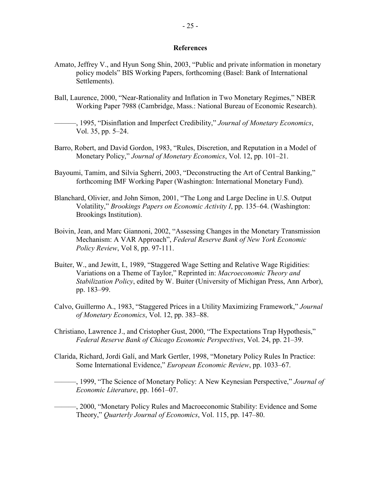## **References**

- Amato, Jeffrey V., and Hyun Song Shin, 2003, "Public and private information in monetary policy models" BIS Working Papers, forthcoming (Basel: Bank of International Settlements).
- Ball, Laurence, 2000, "Near-Rationality and Inflation in Two Monetary Regimes," NBER Working Paper 7988 (Cambridge, Mass.: National Bureau of Economic Research).
- ———, 1995, "Disinflation and Imperfect Credibility," *Journal of Monetary Economics*, Vol. 35, pp. 5–24.
- Barro, Robert, and David Gordon, 1983, "Rules, Discretion, and Reputation in a Model of Monetary Policy," *Journal of Monetary Economics*, Vol. 12, pp. 101–21.
- Bayoumi, Tamim, and Silvia Sgherri, 2003, "Deconstructing the Art of Central Banking," forthcoming IMF Working Paper (Washington: International Monetary Fund).
- Blanchard, Olivier, and John Simon, 2001, "The Long and Large Decline in U.S. Output Volatility," *Brookings Papers on Economic Activity I*, pp. 135–64. (Washington: Brookings Institution).
- Boivin, Jean, and Marc Giannoni, 2002, "Assessing Changes in the Monetary Transmission Mechanism: A VAR Approach", *Federal Reserve Bank of New York Economic Policy Review*, Vol 8, pp. 97-111.
- Buiter, W., and Jewitt, I., 1989, "Staggered Wage Setting and Relative Wage Rigidities: Variations on a Theme of Taylor," Reprinted in: *Macroeconomic Theory and Stabilization Policy*, edited by W. Buiter (University of Michigan Press, Ann Arbor), pp. 183–99.
- Calvo, Guillermo A., 1983, "Staggered Prices in a Utility Maximizing Framework," *Journal of Monetary Economics*, Vol. 12, pp. 383–88.
- Christiano, Lawrence J., and Cristopher Gust, 2000, "The Expectations Trap Hypothesis," *Federal Reserve Bank of Chicago Economic Perspectives*, Vol. 24, pp. 21–39.
- Clarida, Richard, Jordi Galí, and Mark Gertler, 1998, "Monetary Policy Rules In Practice: Some International Evidence," *European Economic Review*, pp. 1033–67.
- ———, 1999, "The Science of Monetary Policy: A New Keynesian Perspective," *Journal of Economic Literature*, pp. 1661–07.

———, 2000, "Monetary Policy Rules and Macroeconomic Stability: Evidence and Some Theory," *Quarterly Journal of Economics*, Vol. 115, pp. 147–80.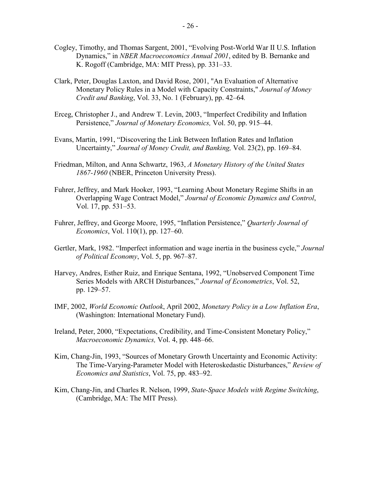- Cogley, Timothy, and Thomas Sargent, 2001, "Evolving Post-World War II U.S. Inflation Dynamics," in *NBER Macroeconomics Annual 2001*, edited by B. Bernanke and K. Rogoff (Cambridge, MA: MIT Press), pp. 331–33.
- Clark, Peter, Douglas Laxton, and David Rose, 2001, "An Evaluation of Alternative Monetary Policy Rules in a Model with Capacity Constraints," *Journal of Money Credit and Banking*, Vol. 33, No. 1 (February), pp. 42–64*.*
- Erceg, Christopher J., and Andrew T. Levin, 2003, "Imperfect Credibility and Inflation Persistence," *Journal of Monetary Economics,* Vol. 50, pp. 915–44.
- Evans, Martin, 1991, "Discovering the Link Between Inflation Rates and Inflation Uncertainty," *Journal of Money Credit, and Banking,* Vol. 23(2), pp. 169–84.
- Friedman, Milton, and Anna Schwartz, 1963, *A Monetary History of the United States 1867-1960* (NBER, Princeton University Press).
- Fuhrer, Jeffrey, and Mark Hooker, 1993, "Learning About Monetary Regime Shifts in an Overlapping Wage Contract Model," *Journal of Economic Dynamics and Control*, Vol. 17, pp. 531–53.
- Fuhrer, Jeffrey, and George Moore, 1995, "Inflation Persistence," *Quarterly Journal of Economics*, Vol. 110(1), pp. 127–60.
- Gertler, Mark, 1982. "Imperfect information and wage inertia in the business cycle," *Journal of Political Economy*, Vol. 5, pp. 967–87.
- Harvey, Andres, Esther Ruiz, and Enrique Sentana, 1992, "Unobserved Component Time Series Models with ARCH Disturbances," *Journal of Econometrics*, Vol. 52, pp. 129–57.
- IMF, 2002, *World Economic Outlook*, April 2002, *Monetary Policy in a Low Inflation Era*, (Washington: International Monetary Fund).
- Ireland, Peter, 2000, "Expectations, Credibility, and Time-Consistent Monetary Policy," *Macroeconomic Dynamics,* Vol. 4, pp. 448–66.
- Kim, Chang-Jin, 1993, "Sources of Monetary Growth Uncertainty and Economic Activity: The Time-Varying-Parameter Model with Heteroskedastic Disturbances," *Review of Economics and Statistics*, Vol. 75, pp. 483–92.
- Kim, Chang-Jin, and Charles R. Nelson, 1999, *State-Space Models with Regime Switching*, (Cambridge, MA: The MIT Press).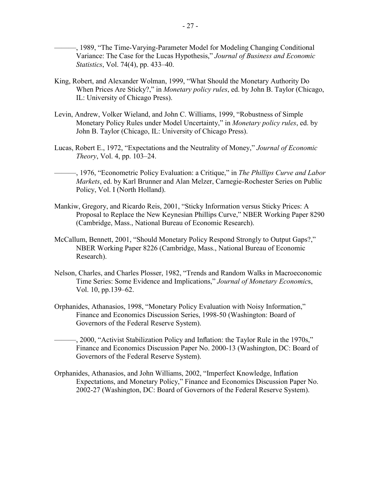———, 1989, "The Time-Varying-Parameter Model for Modeling Changing Conditional Variance: The Case for the Lucas Hypothesis," *Journal of Business and Economic Statistics*, Vol. 74(4), pp. 433–40.

- King, Robert, and Alexander Wolman, 1999, "What Should the Monetary Authority Do When Prices Are Sticky?," in *Monetary policy rules*, ed. by John B. Taylor (Chicago, IL: University of Chicago Press).
- Levin, Andrew, Volker Wieland, and John C. Williams, 1999, "Robustness of Simple Monetary Policy Rules under Model Uncertainty," in *Monetary policy rules*, ed. by John B. Taylor (Chicago, IL: University of Chicago Press).
- Lucas, Robert E., 1972, "Expectations and the Neutrality of Money," *Journal of Economic Theory*, Vol. 4, pp. 103–24.
- ———, 1976, "Econometric Policy Evaluation: a Critique," in *The Phillips Curve and Labor Markets*, ed. by Karl Brunner and Alan Melzer, Carnegie-Rochester Series on Public Policy, Vol. I (North Holland).
- Mankiw, Gregory, and Ricardo Reis, 2001, "Sticky Information versus Sticky Prices: A Proposal to Replace the New Keynesian Phillips Curve," NBER Working Paper 8290 (Cambridge, Mass., National Bureau of Economic Research).
- McCallum, Bennett, 2001, "Should Monetary Policy Respond Strongly to Output Gaps?," NBER Working Paper 8226 (Cambridge, Mass., National Bureau of Economic Research).
- Nelson, Charles, and Charles Plosser, 1982, "Trends and Random Walks in Macroeconomic Time Series: Some Evidence and Implications," *Journal of Monetary Economic*s, Vol. 10, pp.139–62.
- Orphanides, Athanasios, 1998, "Monetary Policy Evaluation with Noisy Information," Finance and Economics Discussion Series, 1998-50 (Washington: Board of Governors of the Federal Reserve System).
- ———, 2000, "Activist Stabilization Policy and Inflation: the Taylor Rule in the 1970s," Finance and Economics Discussion Paper No. 2000-13 (Washington, DC: Board of Governors of the Federal Reserve System).
- Orphanides, Athanasios, and John Williams, 2002, "Imperfect Knowledge, Inflation Expectations, and Monetary Policy," Finance and Economics Discussion Paper No. 2002-27 (Washington, DC: Board of Governors of the Federal Reserve System).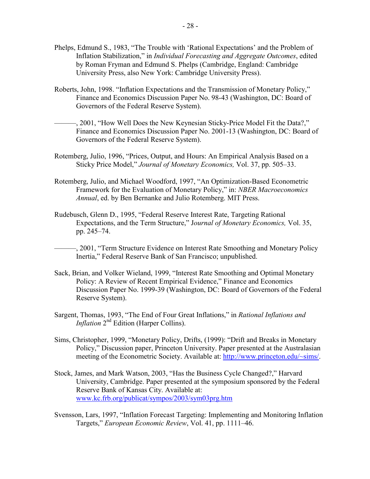- Phelps, Edmund S., 1983, "The Trouble with 'Rational Expectations' and the Problem of Inflation Stabilization," in *Individual Forecasting and Aggregate Outcomes*, edited by Roman Fryman and Edmund S. Phelps (Cambridge, England: Cambridge University Press, also New York: Cambridge University Press).
- Roberts, John, 1998. "Inflation Expectations and the Transmission of Monetary Policy," Finance and Economics Discussion Paper No. 98-43 (Washington, DC: Board of Governors of the Federal Reserve System).
- ———, 2001, "How Well Does the New Keynesian Sticky-Price Model Fit the Data?," Finance and Economics Discussion Paper No. 2001-13 (Washington, DC: Board of Governors of the Federal Reserve System).
- Rotemberg, Julio, 1996, "Prices, Output, and Hours: An Empirical Analysis Based on a Sticky Price Model," *Journal of Monetary Economics,* Vol. 37, pp. 505–33.
- Rotemberg, Julio, and Michael Woodford, 1997, "An Optimization-Based Econometric Framework for the Evaluation of Monetary Policy," in: *NBER Macroeconomics Annual*, ed. by Ben Bernanke and Julio Rotemberg. MIT Press.
- Rudebusch, Glenn D., 1995, "Federal Reserve Interest Rate, Targeting Rational Expectations, and the Term Structure," J*ournal of Monetary Economics,* Vol. 35, pp. 245–74.
	- ———, 2001, "Term Structure Evidence on Interest Rate Smoothing and Monetary Policy Inertia," Federal Reserve Bank of San Francisco; unpublished.
- Sack, Brian, and Volker Wieland, 1999, "Interest Rate Smoothing and Optimal Monetary Policy: A Review of Recent Empirical Evidence," Finance and Economics Discussion Paper No. 1999-39 (Washington, DC: Board of Governors of the Federal Reserve System).
- Sargent, Thomas, 1993, "The End of Four Great Inflations," in *Rational Inflations and Inflation* 2<sup>nd</sup> Edition (Harper Collins).
- Sims, Christopher, 1999, "Monetary Policy, Drifts, (1999): "Drift and Breaks in Monetary Policy," Discussion paper, Princeton University. Paper presented at the Australasian meeting of the Econometric Society. Available at: http://www.princeton.edu/~sims/.
- Stock, James, and Mark Watson, 2003, "Has the Business Cycle Changed?," Harvard University, Cambridge. Paper presented at the symposium sponsored by the Federal Reserve Bank of Kansas City. Available at: www.kc.frb.org/publicat/sympos/2003/sym03prg.htm
- Svensson, Lars, 1997, "Inflation Forecast Targeting: Implementing and Monitoring Inflation Targets," *European Economic Review*, Vol. 41, pp. 1111–46.